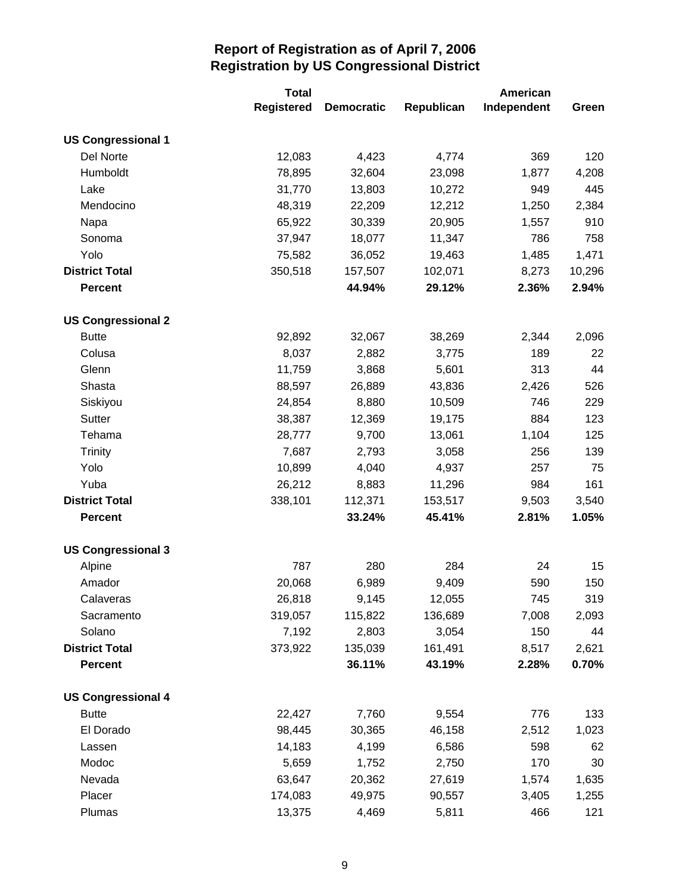|                           | <b>Total</b>      |                   | American   |             |        |
|---------------------------|-------------------|-------------------|------------|-------------|--------|
|                           | <b>Registered</b> | <b>Democratic</b> | Republican | Independent | Green  |
| <b>US Congressional 1</b> |                   |                   |            |             |        |
| Del Norte                 | 12,083            | 4,423             | 4,774      | 369         | 120    |
| Humboldt                  | 78,895            | 32,604            | 23,098     | 1,877       | 4,208  |
| Lake                      | 31,770            | 13,803            | 10,272     | 949         | 445    |
| Mendocino                 | 48,319            | 22,209            | 12,212     | 1,250       | 2,384  |
| Napa                      | 65,922            | 30,339            | 20,905     | 1,557       | 910    |
| Sonoma                    | 37,947            | 18,077            | 11,347     | 786         | 758    |
| Yolo                      | 75,582            | 36,052            | 19,463     | 1,485       | 1,471  |
| <b>District Total</b>     | 350,518           | 157,507           | 102,071    | 8,273       | 10,296 |
| <b>Percent</b>            |                   | 44.94%            | 29.12%     | 2.36%       | 2.94%  |
| <b>US Congressional 2</b> |                   |                   |            |             |        |
| <b>Butte</b>              | 92,892            | 32,067            | 38,269     | 2,344       | 2,096  |
| Colusa                    | 8,037             | 2,882             | 3,775      | 189         | 22     |
| Glenn                     | 11,759            | 3,868             | 5,601      | 313         | 44     |
| Shasta                    | 88,597            | 26,889            | 43,836     | 2,426       | 526    |
| Siskiyou                  | 24,854            | 8,880             | 10,509     | 746         | 229    |
| Sutter                    | 38,387            | 12,369            | 19,175     | 884         | 123    |
| Tehama                    | 28,777            | 9,700             | 13,061     | 1,104       | 125    |
| <b>Trinity</b>            | 7,687             | 2,793             | 3,058      | 256         | 139    |
| Yolo                      | 10,899            | 4,040             | 4,937      | 257         | 75     |
| Yuba                      | 26,212            | 8,883             | 11,296     | 984         | 161    |
| <b>District Total</b>     | 338,101           | 112,371           | 153,517    | 9,503       | 3,540  |
| <b>Percent</b>            |                   | 33.24%            | 45.41%     | 2.81%       | 1.05%  |
| <b>US Congressional 3</b> |                   |                   |            |             |        |
| Alpine                    | 787               | 280               | 284        | 24          | 15     |
| Amador                    | 20,068            | 6,989             | 9,409      | 590         | 150    |
| Calaveras                 | 26,818            | 9,145             | 12,055     | 745         | 319    |
| Sacramento                | 319,057           | 115,822           | 136,689    | 7,008       | 2,093  |
| Solano                    | 7,192             | 2,803             | 3,054      | 150         | 44     |
| <b>District Total</b>     | 373,922           | 135,039           | 161,491    | 8,517       | 2,621  |
| <b>Percent</b>            |                   | 36.11%            | 43.19%     | 2.28%       | 0.70%  |
| <b>US Congressional 4</b> |                   |                   |            |             |        |
| <b>Butte</b>              | 22,427            | 7,760             | 9,554      | 776         | 133    |
| El Dorado                 | 98,445            | 30,365            | 46,158     | 2,512       | 1,023  |
| Lassen                    | 14,183            | 4,199             | 6,586      | 598         | 62     |
| Modoc                     | 5,659             | 1,752             | 2,750      | 170         | 30     |
| Nevada                    | 63,647            | 20,362            | 27,619     | 1,574       | 1,635  |
| Placer                    | 174,083           | 49,975            | 90,557     | 3,405       | 1,255  |
| Plumas                    | 13,375            | 4,469             | 5,811      | 466         | 121    |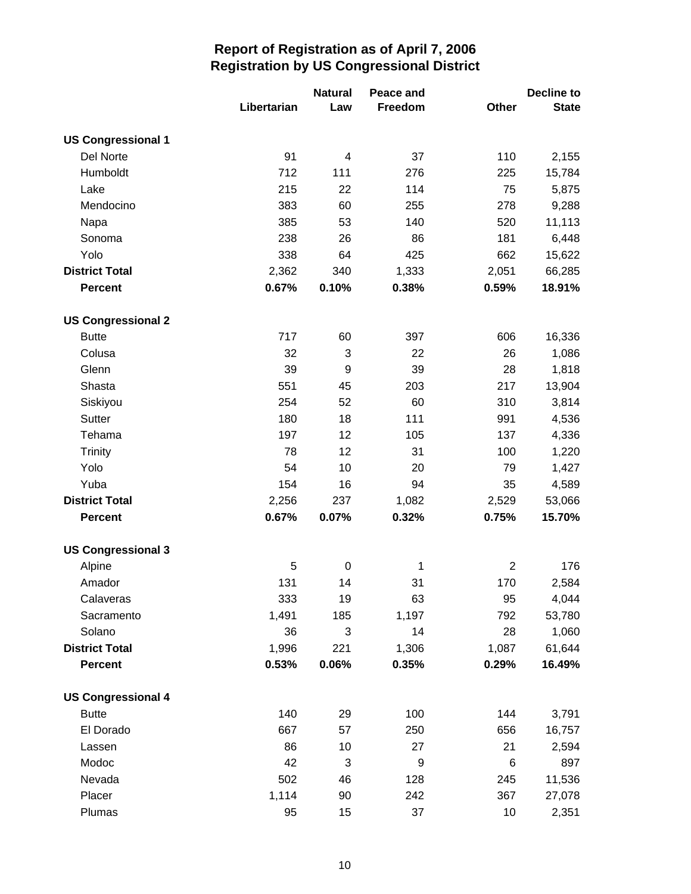|                           |             | <b>Natural</b> | Peace and |                | <b>Decline to</b> |
|---------------------------|-------------|----------------|-----------|----------------|-------------------|
|                           | Libertarian | Law            | Freedom   | Other          | <b>State</b>      |
| <b>US Congressional 1</b> |             |                |           |                |                   |
| Del Norte                 | 91          | 4              | 37        | 110            | 2,155             |
| Humboldt                  | 712         | 111            | 276       | 225            | 15,784            |
| Lake                      | 215         | 22             | 114       | 75             | 5,875             |
| Mendocino                 | 383         | 60             | 255       | 278            | 9,288             |
| Napa                      | 385         | 53             | 140       | 520            | 11,113            |
| Sonoma                    | 238         | 26             | 86        | 181            | 6,448             |
| Yolo                      | 338         | 64             | 425       | 662            | 15,622            |
| <b>District Total</b>     | 2,362       | 340            | 1,333     | 2,051          | 66,285            |
| <b>Percent</b>            | 0.67%       | 0.10%          | 0.38%     | 0.59%          | 18.91%            |
| <b>US Congressional 2</b> |             |                |           |                |                   |
| <b>Butte</b>              | 717         | 60             | 397       | 606            | 16,336            |
| Colusa                    | 32          | 3              | 22        | 26             | 1,086             |
| Glenn                     | 39          | 9              | 39        | 28             | 1,818             |
| Shasta                    | 551         | 45             | 203       | 217            | 13,904            |
| Siskiyou                  | 254         | 52             | 60        | 310            | 3,814             |
| Sutter                    | 180         | 18             | 111       | 991            | 4,536             |
| Tehama                    | 197         | 12             | 105       | 137            | 4,336             |
| <b>Trinity</b>            | 78          | 12             | 31        | 100            | 1,220             |
| Yolo                      | 54          | 10             | 20        | 79             | 1,427             |
| Yuba                      | 154         | 16             | 94        | 35             | 4,589             |
| <b>District Total</b>     | 2,256       | 237            | 1,082     | 2,529          | 53,066            |
| <b>Percent</b>            | 0.67%       | 0.07%          | 0.32%     | 0.75%          | 15.70%            |
| <b>US Congressional 3</b> |             |                |           |                |                   |
| Alpine                    | 5           | $\pmb{0}$      | 1         | $\overline{2}$ | 176               |
| Amador                    | 131         | 14             | 31        | 170            | 2,584             |
| Calaveras                 | 333         | 19             | 63        | 95             | 4,044             |
| Sacramento                | 1,491       | 185            | 1,197     | 792            | 53,780            |
| Solano                    | 36          | 3              | 14        | 28             | 1,060             |
| <b>District Total</b>     | 1,996       | 221            | 1,306     | 1,087          | 61,644            |
| <b>Percent</b>            | 0.53%       | 0.06%          | 0.35%     | 0.29%          | 16.49%            |
| <b>US Congressional 4</b> |             |                |           |                |                   |
| <b>Butte</b>              | 140         | 29             | 100       | 144            | 3,791             |
| El Dorado                 | 667         | 57             | 250       | 656            | 16,757            |
| Lassen                    | 86          | 10             | 27        | 21             | 2,594             |
| Modoc                     | 42          | 3              | 9         | 6              | 897               |
| Nevada                    | 502         | 46             | 128       | 245            | 11,536            |
| Placer                    | 1,114       | 90             | 242       | 367            | 27,078            |
| Plumas                    | 95          | 15             | 37        | 10             | 2,351             |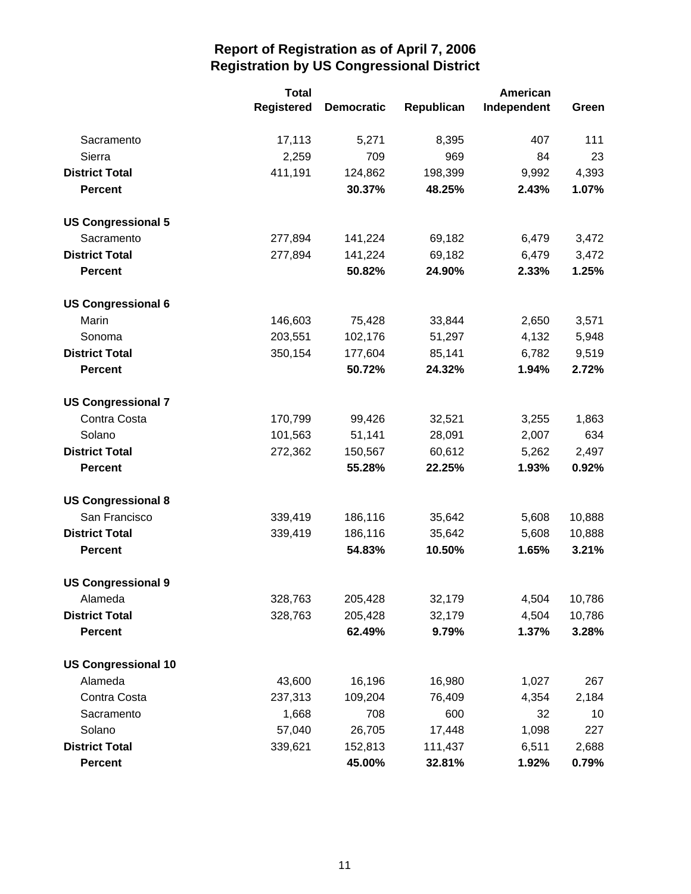|                            | <b>Total</b>      | <b>American</b>   |            |             |        |
|----------------------------|-------------------|-------------------|------------|-------------|--------|
|                            | <b>Registered</b> | <b>Democratic</b> | Republican | Independent | Green  |
| Sacramento                 | 17,113            | 5,271             | 8,395      | 407         | 111    |
| Sierra                     | 2,259             | 709               | 969        | 84          | 23     |
| <b>District Total</b>      | 411,191           | 124,862           | 198,399    | 9,992       | 4,393  |
| <b>Percent</b>             |                   | 30.37%            | 48.25%     | 2.43%       | 1.07%  |
| <b>US Congressional 5</b>  |                   |                   |            |             |        |
| Sacramento                 | 277,894           | 141,224           | 69,182     | 6,479       | 3,472  |
| <b>District Total</b>      | 277,894           | 141,224           | 69,182     | 6,479       | 3,472  |
| <b>Percent</b>             |                   | 50.82%            | 24.90%     | 2.33%       | 1.25%  |
| <b>US Congressional 6</b>  |                   |                   |            |             |        |
| Marin                      | 146,603           | 75,428            | 33,844     | 2,650       | 3,571  |
| Sonoma                     | 203,551           | 102,176           | 51,297     | 4,132       | 5,948  |
| <b>District Total</b>      | 350,154           | 177,604           | 85,141     | 6,782       | 9,519  |
| <b>Percent</b>             |                   | 50.72%            | 24.32%     | 1.94%       | 2.72%  |
| <b>US Congressional 7</b>  |                   |                   |            |             |        |
| Contra Costa               | 170,799           | 99,426            | 32,521     | 3,255       | 1,863  |
| Solano                     | 101,563           | 51,141            | 28,091     | 2,007       | 634    |
| <b>District Total</b>      | 272,362           | 150,567           | 60,612     | 5,262       | 2,497  |
| <b>Percent</b>             |                   | 55.28%            | 22.25%     | 1.93%       | 0.92%  |
| <b>US Congressional 8</b>  |                   |                   |            |             |        |
| San Francisco              | 339,419           | 186,116           | 35,642     | 5,608       | 10,888 |
| <b>District Total</b>      | 339,419           | 186,116           | 35,642     | 5,608       | 10,888 |
| <b>Percent</b>             |                   | 54.83%            | 10.50%     | 1.65%       | 3.21%  |
| <b>US Congressional 9</b>  |                   |                   |            |             |        |
| Alameda                    | 328,763           | 205,428           | 32,179     | 4,504       | 10,786 |
| <b>District Total</b>      | 328,763           | 205,428           | 32,179     | 4,504       | 10,786 |
| <b>Percent</b>             |                   | 62.49%            | 9.79%      | 1.37%       | 3.28%  |
| <b>US Congressional 10</b> |                   |                   |            |             |        |
| Alameda                    | 43,600            | 16,196            | 16,980     | 1,027       | 267    |
| Contra Costa               | 237,313           | 109,204           | 76,409     | 4,354       | 2,184  |
| Sacramento                 | 1,668             | 708               | 600        | 32          | 10     |
| Solano                     | 57,040            | 26,705            | 17,448     | 1,098       | 227    |
| <b>District Total</b>      | 339,621           | 152,813           | 111,437    | 6,511       | 2,688  |
| <b>Percent</b>             |                   | 45.00%            | 32.81%     | 1.92%       | 0.79%  |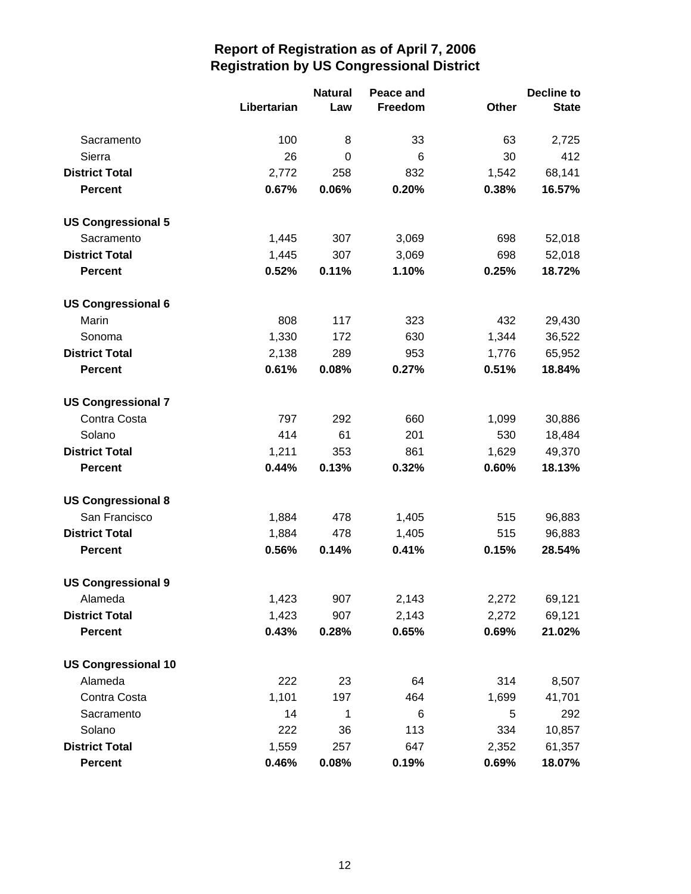|                            |             | <b>Natural</b> | Peace and |       | <b>Decline to</b> |
|----------------------------|-------------|----------------|-----------|-------|-------------------|
|                            | Libertarian | Law            | Freedom   | Other | <b>State</b>      |
| Sacramento                 | 100         | 8              | 33        | 63    | 2,725             |
| Sierra                     | 26          | 0              | 6         | 30    | 412               |
| <b>District Total</b>      | 2,772       | 258            | 832       | 1,542 | 68,141            |
| <b>Percent</b>             | 0.67%       | 0.06%          | 0.20%     | 0.38% | 16.57%            |
| <b>US Congressional 5</b>  |             |                |           |       |                   |
| Sacramento                 | 1,445       | 307            | 3,069     | 698   | 52,018            |
| <b>District Total</b>      | 1,445       | 307            | 3,069     | 698   | 52,018            |
| <b>Percent</b>             | 0.52%       | 0.11%          | 1.10%     | 0.25% | 18.72%            |
| <b>US Congressional 6</b>  |             |                |           |       |                   |
| Marin                      | 808         | 117            | 323       | 432   | 29,430            |
| Sonoma                     | 1,330       | 172            | 630       | 1,344 | 36,522            |
| <b>District Total</b>      | 2,138       | 289            | 953       | 1,776 | 65,952            |
| <b>Percent</b>             | 0.61%       | 0.08%          | 0.27%     | 0.51% | 18.84%            |
| <b>US Congressional 7</b>  |             |                |           |       |                   |
| Contra Costa               | 797         | 292            | 660       | 1,099 | 30,886            |
| Solano                     | 414         | 61             | 201       | 530   | 18,484            |
| <b>District Total</b>      | 1,211       | 353            | 861       | 1,629 | 49,370            |
| <b>Percent</b>             | 0.44%       | 0.13%          | 0.32%     | 0.60% | 18.13%            |
| <b>US Congressional 8</b>  |             |                |           |       |                   |
| San Francisco              | 1,884       | 478            | 1,405     | 515   | 96,883            |
| <b>District Total</b>      | 1,884       | 478            | 1,405     | 515   | 96,883            |
| <b>Percent</b>             | 0.56%       | 0.14%          | 0.41%     | 0.15% | 28.54%            |
| <b>US Congressional 9</b>  |             |                |           |       |                   |
| Alameda                    | 1,423       | 907            | 2,143     | 2,272 | 69,121            |
| <b>District Total</b>      | 1,423       | 907            | 2,143     | 2,272 | 69,121            |
| <b>Percent</b>             | 0.43%       | 0.28%          | 0.65%     | 0.69% | 21.02%            |
| <b>US Congressional 10</b> |             |                |           |       |                   |
| Alameda                    | 222         | 23             | 64        | 314   | 8,507             |
| Contra Costa               | 1,101       | 197            | 464       | 1,699 | 41,701            |
| Sacramento                 | 14          | 1              | 6         | 5     | 292               |
| Solano                     | 222         | 36             | 113       | 334   | 10,857            |
| <b>District Total</b>      | 1,559       | 257            | 647       | 2,352 | 61,357            |
| <b>Percent</b>             | 0.46%       | 0.08%          | 0.19%     | 0.69% | 18.07%            |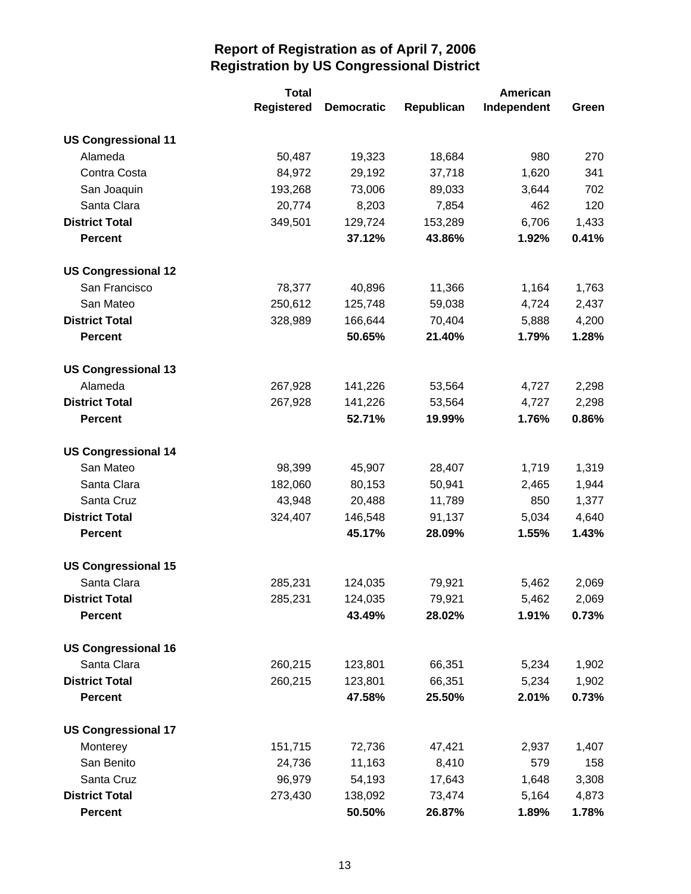|                            | <b>Total</b>      |                   | American   |             |       |
|----------------------------|-------------------|-------------------|------------|-------------|-------|
|                            | <b>Registered</b> | <b>Democratic</b> | Republican | Independent | Green |
| <b>US Congressional 11</b> |                   |                   |            |             |       |
| Alameda                    | 50,487            | 19,323            | 18,684     | 980         | 270   |
| Contra Costa               | 84,972            | 29,192            | 37,718     | 1,620       | 341   |
| San Joaquin                | 193,268           | 73,006            | 89,033     | 3,644       | 702   |
| Santa Clara                | 20,774            | 8,203             | 7,854      | 462         | 120   |
| <b>District Total</b>      | 349,501           | 129,724           | 153,289    | 6,706       | 1,433 |
| <b>Percent</b>             |                   | 37.12%            | 43.86%     | 1.92%       | 0.41% |
| <b>US Congressional 12</b> |                   |                   |            |             |       |
| San Francisco              | 78,377            | 40,896            | 11,366     | 1,164       | 1,763 |
| San Mateo                  | 250,612           | 125,748           | 59,038     | 4,724       | 2,437 |
| <b>District Total</b>      | 328,989           | 166,644           | 70,404     | 5,888       | 4,200 |
| <b>Percent</b>             |                   | 50.65%            | 21.40%     | 1.79%       | 1.28% |
| <b>US Congressional 13</b> |                   |                   |            |             |       |
| Alameda                    | 267,928           | 141,226           | 53,564     | 4,727       | 2,298 |
| <b>District Total</b>      | 267,928           | 141,226           | 53,564     | 4,727       | 2,298 |
| <b>Percent</b>             |                   | 52.71%            | 19.99%     | 1.76%       | 0.86% |
| <b>US Congressional 14</b> |                   |                   |            |             |       |
| San Mateo                  | 98,399            | 45,907            | 28,407     | 1,719       | 1,319 |
| Santa Clara                | 182,060           | 80,153            | 50,941     | 2,465       | 1,944 |
| Santa Cruz                 | 43,948            | 20,488            | 11,789     | 850         | 1,377 |
| <b>District Total</b>      | 324,407           | 146,548           | 91,137     | 5,034       | 4,640 |
| <b>Percent</b>             |                   | 45.17%            | 28.09%     | 1.55%       | 1.43% |
| <b>US Congressional 15</b> |                   |                   |            |             |       |
| Santa Clara                | 285,231           | 124,035           | 79,921     | 5,462       | 2,069 |
| <b>District Total</b>      | 285,231           | 124,035           | 79,921     | 5,462       | 2,069 |
| <b>Percent</b>             |                   | 43.49%            | 28.02%     | 1.91%       | 0.73% |
| <b>US Congressional 16</b> |                   |                   |            |             |       |
| Santa Clara                | 260,215           | 123,801           | 66,351     | 5,234       | 1,902 |
| <b>District Total</b>      | 260,215           | 123,801           | 66,351     | 5,234       | 1,902 |
| <b>Percent</b>             |                   | 47.58%            | 25.50%     | 2.01%       | 0.73% |
| <b>US Congressional 17</b> |                   |                   |            |             |       |
| Monterey                   | 151,715           | 72,736            | 47,421     | 2,937       | 1,407 |
| San Benito                 | 24,736            | 11,163            | 8,410      | 579         | 158   |
| Santa Cruz                 | 96,979            | 54,193            | 17,643     | 1,648       | 3,308 |
| <b>District Total</b>      | 273,430           | 138,092           | 73,474     | 5,164       | 4,873 |
| <b>Percent</b>             |                   | 50.50%            | 26.87%     | 1.89%       | 1.78% |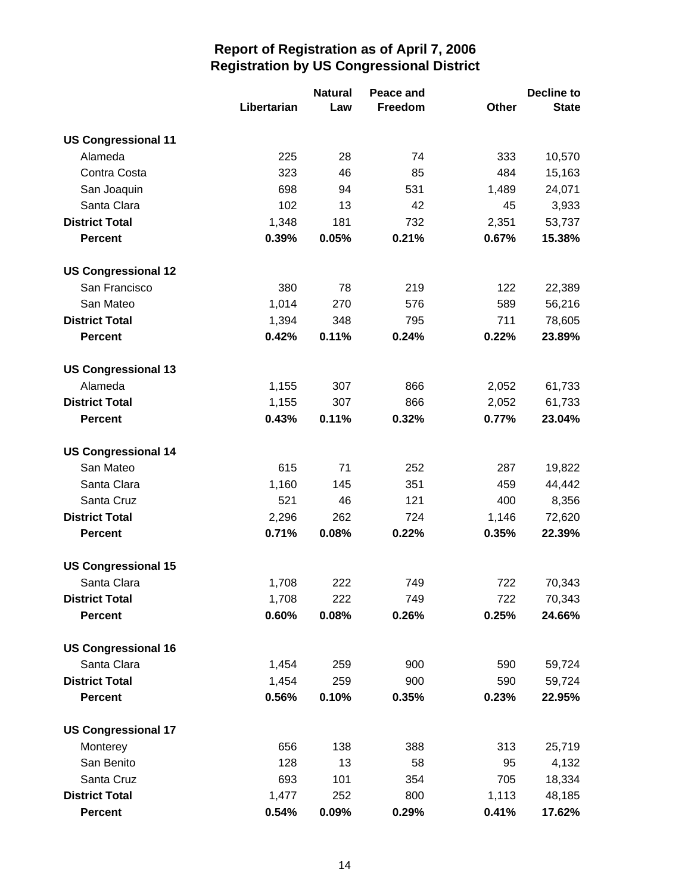|                            |             | <b>Natural</b> | Peace and |       | <b>Decline to</b> |
|----------------------------|-------------|----------------|-----------|-------|-------------------|
|                            | Libertarian | Law            | Freedom   | Other | <b>State</b>      |
| <b>US Congressional 11</b> |             |                |           |       |                   |
| Alameda                    | 225         | 28             | 74        | 333   | 10,570            |
| Contra Costa               | 323         | 46             | 85        | 484   | 15,163            |
| San Joaquin                | 698         | 94             | 531       | 1,489 | 24,071            |
| Santa Clara                | 102         | 13             | 42        | 45    | 3,933             |
| <b>District Total</b>      | 1,348       | 181            | 732       | 2,351 | 53,737            |
| <b>Percent</b>             | 0.39%       | 0.05%          | 0.21%     | 0.67% | 15.38%            |
| <b>US Congressional 12</b> |             |                |           |       |                   |
| San Francisco              | 380         | 78             | 219       | 122   | 22,389            |
| San Mateo                  | 1,014       | 270            | 576       | 589   | 56,216            |
| <b>District Total</b>      | 1,394       | 348            | 795       | 711   | 78,605            |
| <b>Percent</b>             | 0.42%       | 0.11%          | 0.24%     | 0.22% | 23.89%            |
| <b>US Congressional 13</b> |             |                |           |       |                   |
| Alameda                    | 1,155       | 307            | 866       | 2,052 | 61,733            |
| <b>District Total</b>      | 1,155       | 307            | 866       | 2,052 | 61,733            |
| <b>Percent</b>             | 0.43%       | 0.11%          | 0.32%     | 0.77% | 23.04%            |
| <b>US Congressional 14</b> |             |                |           |       |                   |
| San Mateo                  | 615         | 71             | 252       | 287   | 19,822            |
| Santa Clara                | 1,160       | 145            | 351       | 459   | 44,442            |
| Santa Cruz                 | 521         | 46             | 121       | 400   | 8,356             |
| <b>District Total</b>      | 2,296       | 262            | 724       | 1,146 | 72,620            |
| <b>Percent</b>             | 0.71%       | 0.08%          | 0.22%     | 0.35% | 22.39%            |
| <b>US Congressional 15</b> |             |                |           |       |                   |
| Santa Clara                | 1,708       | 222            | 749       | 722   | 70,343            |
| <b>District Total</b>      | 1,708       | 222            | 749       | 722   | 70,343            |
| <b>Percent</b>             | 0.60%       | 0.08%          | 0.26%     | 0.25% | 24.66%            |
| <b>US Congressional 16</b> |             |                |           |       |                   |
| Santa Clara                | 1,454       | 259            | 900       | 590   | 59,724            |
| <b>District Total</b>      | 1,454       | 259            | 900       | 590   | 59,724            |
| <b>Percent</b>             | 0.56%       | 0.10%          | 0.35%     | 0.23% | 22.95%            |
| <b>US Congressional 17</b> |             |                |           |       |                   |
| Monterey                   | 656         | 138            | 388       | 313   | 25,719            |
| San Benito                 | 128         | 13             | 58        | 95    | 4,132             |
| Santa Cruz                 | 693         | 101            | 354       | 705   | 18,334            |
| <b>District Total</b>      | 1,477       | 252            | 800       | 1,113 | 48,185            |
| <b>Percent</b>             | 0.54%       | 0.09%          | 0.29%     | 0.41% | 17.62%            |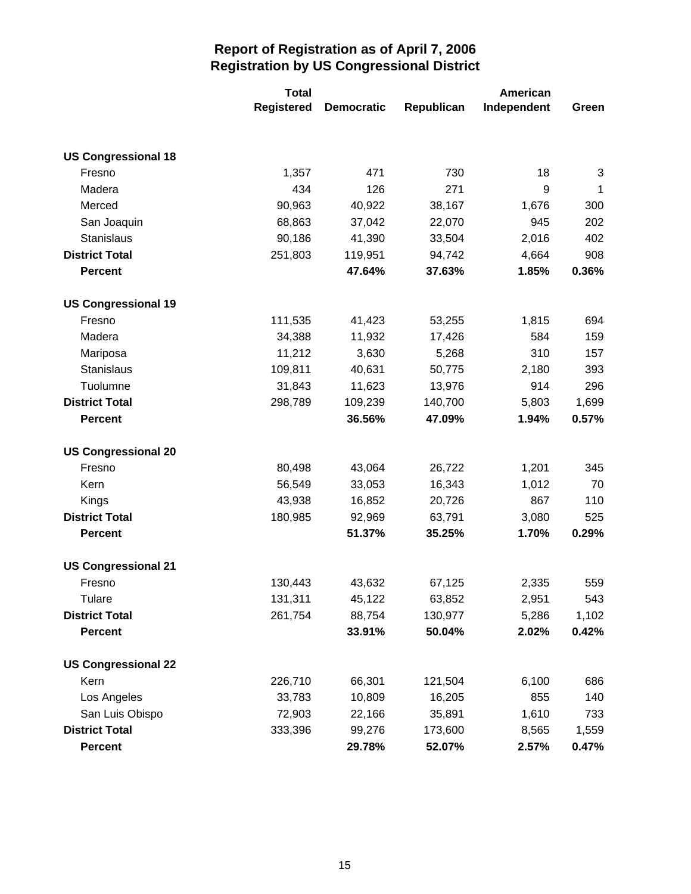|                            | <b>Total</b>      | American          |            |             |       |
|----------------------------|-------------------|-------------------|------------|-------------|-------|
|                            | <b>Registered</b> | <b>Democratic</b> | Republican | Independent | Green |
|                            |                   |                   |            |             |       |
| <b>US Congressional 18</b> |                   |                   |            |             |       |
| Fresno                     | 1,357             | 471               | 730        | 18          | 3     |
| Madera                     | 434               | 126               | 271        | 9           | 1     |
| Merced                     | 90,963            | 40,922            | 38,167     | 1,676       | 300   |
| San Joaquin                | 68,863            | 37,042            | 22,070     | 945         | 202   |
| Stanislaus                 | 90,186            | 41,390            | 33,504     | 2,016       | 402   |
| <b>District Total</b>      | 251,803           | 119,951           | 94,742     | 4,664       | 908   |
| <b>Percent</b>             |                   | 47.64%            | 37.63%     | 1.85%       | 0.36% |
| <b>US Congressional 19</b> |                   |                   |            |             |       |
| Fresno                     | 111,535           | 41,423            | 53,255     | 1,815       | 694   |
| Madera                     | 34,388            | 11,932            | 17,426     | 584         | 159   |
| Mariposa                   | 11,212            | 3,630             | 5,268      | 310         | 157   |
| Stanislaus                 | 109,811           | 40,631            | 50,775     | 2,180       | 393   |
| Tuolumne                   | 31,843            | 11,623            | 13,976     | 914         | 296   |
| <b>District Total</b>      | 298,789           | 109,239           | 140,700    | 5,803       | 1,699 |
| <b>Percent</b>             |                   | 36.56%            | 47.09%     | 1.94%       | 0.57% |
| <b>US Congressional 20</b> |                   |                   |            |             |       |
| Fresno                     | 80,498            | 43,064            | 26,722     | 1,201       | 345   |
| Kern                       | 56,549            | 33,053            | 16,343     | 1,012       | 70    |
| Kings                      | 43,938            | 16,852            | 20,726     | 867         | 110   |
| <b>District Total</b>      | 180,985           | 92,969            | 63,791     | 3,080       | 525   |
| <b>Percent</b>             |                   | 51.37%            | 35.25%     | 1.70%       | 0.29% |
| <b>US Congressional 21</b> |                   |                   |            |             |       |
| Fresno                     | 130,443           | 43,632            | 67,125     | 2,335       | 559   |
| <b>Tulare</b>              | 131,311           | 45,122            | 63,852     | 2,951       | 543   |
| <b>District Total</b>      | 261,754           | 88,754            | 130,977    | 5,286       | 1,102 |
| <b>Percent</b>             |                   | 33.91%            | 50.04%     | 2.02%       | 0.42% |
| <b>US Congressional 22</b> |                   |                   |            |             |       |
| Kern                       | 226,710           | 66,301            | 121,504    | 6,100       | 686   |
| Los Angeles                | 33,783            | 10,809            | 16,205     | 855         | 140   |
| San Luis Obispo            | 72,903            | 22,166            | 35,891     | 1,610       | 733   |
| <b>District Total</b>      | 333,396           | 99,276            | 173,600    | 8,565       | 1,559 |
| <b>Percent</b>             |                   | 29.78%            | 52.07%     | 2.57%       | 0.47% |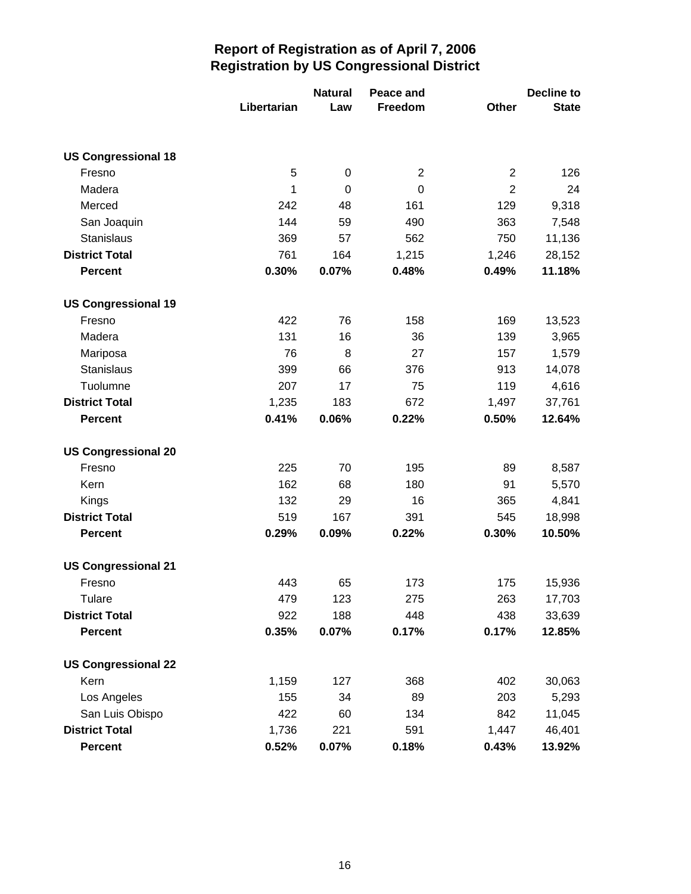|                            |             | <b>Natural</b> | Peace and      |                |              |
|----------------------------|-------------|----------------|----------------|----------------|--------------|
|                            | Libertarian | Law            | Freedom        | <b>Other</b>   | <b>State</b> |
|                            |             |                |                |                |              |
| <b>US Congressional 18</b> |             |                |                |                |              |
| Fresno                     | 5           | $\mathbf 0$    | $\overline{2}$ | $\overline{2}$ | 126          |
| Madera                     | 1           | $\mathbf 0$    | $\mathbf 0$    | $\overline{2}$ | 24           |
| Merced                     | 242         | 48             | 161            | 129            | 9,318        |
| San Joaquin                | 144         | 59             | 490            | 363            | 7,548        |
| Stanislaus                 | 369         | 57             | 562            | 750            | 11,136       |
| <b>District Total</b>      | 761         | 164            | 1,215          | 1,246          | 28,152       |
| <b>Percent</b>             | 0.30%       | 0.07%          | 0.48%          | 0.49%          | 11.18%       |
| <b>US Congressional 19</b> |             |                |                |                |              |
| Fresno                     | 422         | 76             | 158            | 169            | 13,523       |
| Madera                     | 131         | 16             | 36             | 139            | 3,965        |
| Mariposa                   | 76          | 8              | 27             | 157            | 1,579        |
| <b>Stanislaus</b>          | 399         | 66             | 376            | 913            | 14,078       |
| Tuolumne                   | 207         | 17             | 75             | 119            | 4,616        |
| <b>District Total</b>      | 1,235       | 183            | 672            | 1,497          | 37,761       |
| <b>Percent</b>             | 0.41%       | 0.06%          | 0.22%          | 0.50%          | 12.64%       |
| <b>US Congressional 20</b> |             |                |                |                |              |
| Fresno                     | 225         | 70             | 195            | 89             | 8,587        |
| Kern                       | 162         | 68             | 180            | 91             | 5,570        |
| Kings                      | 132         | 29             | 16             | 365            | 4,841        |
| <b>District Total</b>      | 519         | 167            | 391            | 545            | 18,998       |
| <b>Percent</b>             | 0.29%       | 0.09%          | 0.22%          | 0.30%          | 10.50%       |
| <b>US Congressional 21</b> |             |                |                |                |              |
| Fresno                     | 443         | 65             | 173            | 175            | 15,936       |
| Tulare                     | 479         | 123            | 275            | 263            | 17,703       |
| <b>District Total</b>      | 922         | 188            | 448            | 438            | 33,639       |
| <b>Percent</b>             | 0.35%       | 0.07%          | 0.17%          | 0.17%          | 12.85%       |
| <b>US Congressional 22</b> |             |                |                |                |              |
| Kern                       | 1,159       | 127            | 368            | 402            | 30,063       |
| Los Angeles                | 155         | 34             | 89             | 203            | 5,293        |
| San Luis Obispo            | 422         | 60             | 134            | 842            | 11,045       |
| <b>District Total</b>      | 1,736       | 221            | 591            | 1,447          | 46,401       |
| <b>Percent</b>             | 0.52%       | 0.07%          | 0.18%          | 0.43%          | 13.92%       |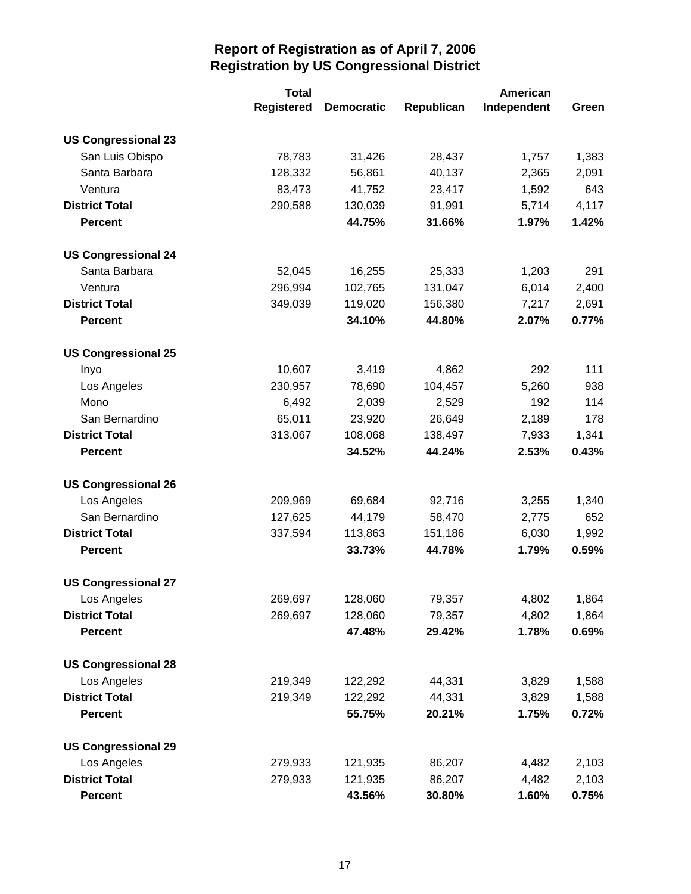|                            | <b>Total</b>      |                   | American   |             |       |
|----------------------------|-------------------|-------------------|------------|-------------|-------|
|                            | <b>Registered</b> | <b>Democratic</b> | Republican | Independent | Green |
| <b>US Congressional 23</b> |                   |                   |            |             |       |
| San Luis Obispo            | 78,783            | 31,426            | 28,437     | 1,757       | 1,383 |
| Santa Barbara              | 128,332           | 56,861            | 40,137     | 2,365       | 2,091 |
| Ventura                    | 83,473            | 41,752            | 23,417     | 1,592       | 643   |
| <b>District Total</b>      | 290,588           | 130,039           | 91,991     | 5,714       | 4,117 |
| <b>Percent</b>             |                   | 44.75%            | 31.66%     | 1.97%       | 1.42% |
| <b>US Congressional 24</b> |                   |                   |            |             |       |
| Santa Barbara              | 52,045            | 16,255            | 25,333     | 1,203       | 291   |
| Ventura                    | 296,994           | 102,765           | 131,047    | 6,014       | 2,400 |
| <b>District Total</b>      | 349,039           | 119,020           | 156,380    | 7,217       | 2,691 |
| <b>Percent</b>             |                   | 34.10%            | 44.80%     | 2.07%       | 0.77% |
| <b>US Congressional 25</b> |                   |                   |            |             |       |
| Inyo                       | 10,607            | 3,419             | 4,862      | 292         | 111   |
| Los Angeles                | 230,957           | 78,690            | 104,457    | 5,260       | 938   |
| Mono                       | 6,492             | 2,039             | 2,529      | 192         | 114   |
| San Bernardino             | 65,011            | 23,920            | 26,649     | 2,189       | 178   |
| <b>District Total</b>      | 313,067           | 108,068           | 138,497    | 7,933       | 1,341 |
| <b>Percent</b>             |                   | 34.52%            | 44.24%     | 2.53%       | 0.43% |
| <b>US Congressional 26</b> |                   |                   |            |             |       |
| Los Angeles                | 209,969           | 69,684            | 92,716     | 3,255       | 1,340 |
| San Bernardino             | 127,625           | 44,179            | 58,470     | 2,775       | 652   |
| <b>District Total</b>      | 337,594           | 113,863           | 151,186    | 6,030       | 1,992 |
| <b>Percent</b>             |                   | 33.73%            | 44.78%     | 1.79%       | 0.59% |
| <b>US Congressional 27</b> |                   |                   |            |             |       |
| Los Angeles                | 269,697           | 128,060           | 79,357     | 4,802       | 1,864 |
| <b>District Total</b>      | 269,697           | 128,060           | 79,357     | 4,802       | 1,864 |
| <b>Percent</b>             |                   | 47.48%            | 29.42%     | 1.78%       | 0.69% |
| <b>US Congressional 28</b> |                   |                   |            |             |       |
| Los Angeles                | 219,349           | 122,292           | 44,331     | 3,829       | 1,588 |
| <b>District Total</b>      | 219,349           | 122,292           | 44,331     | 3,829       | 1,588 |
| <b>Percent</b>             |                   | 55.75%            | 20.21%     | 1.75%       | 0.72% |
| <b>US Congressional 29</b> |                   |                   |            |             |       |
| Los Angeles                | 279,933           | 121,935           | 86,207     | 4,482       | 2,103 |
| <b>District Total</b>      | 279,933           | 121,935           | 86,207     | 4,482       | 2,103 |
| <b>Percent</b>             |                   | 43.56%            | 30.80%     | 1.60%       | 0.75% |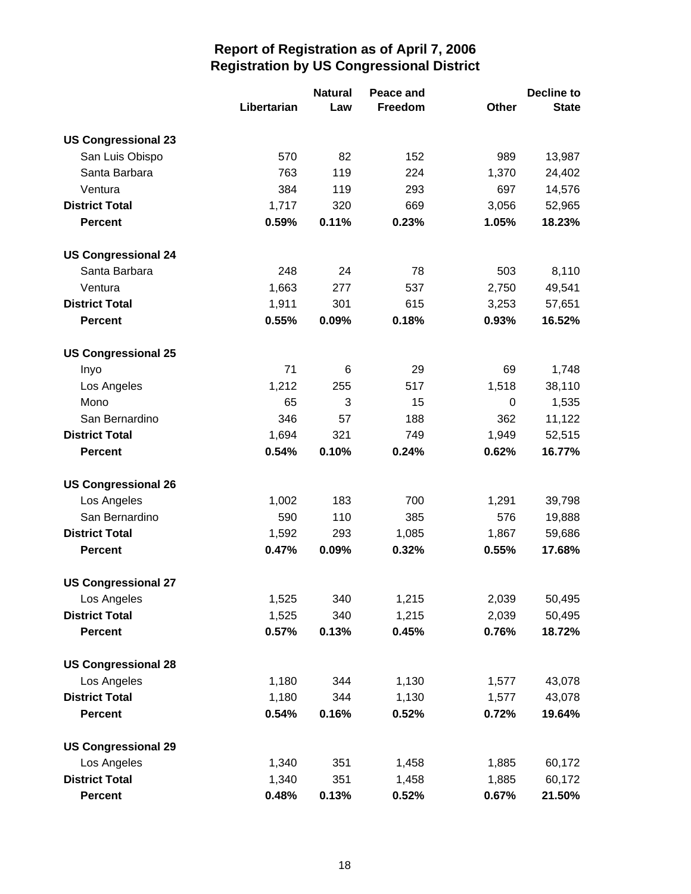|                            |             | <b>Natural</b> | Peace and |              | Decline to   |
|----------------------------|-------------|----------------|-----------|--------------|--------------|
|                            | Libertarian | Law            | Freedom   | <b>Other</b> | <b>State</b> |
| <b>US Congressional 23</b> |             |                |           |              |              |
| San Luis Obispo            | 570         | 82             | 152       | 989          | 13,987       |
| Santa Barbara              | 763         | 119            | 224       | 1,370        | 24,402       |
| Ventura                    | 384         | 119            | 293       | 697          | 14,576       |
| <b>District Total</b>      | 1,717       | 320            | 669       | 3,056        | 52,965       |
| <b>Percent</b>             | 0.59%       | 0.11%          | 0.23%     | 1.05%        | 18.23%       |
| <b>US Congressional 24</b> |             |                |           |              |              |
| Santa Barbara              | 248         | 24             | 78        | 503          | 8,110        |
| Ventura                    | 1,663       | 277            | 537       | 2,750        | 49,541       |
| <b>District Total</b>      | 1,911       | 301            | 615       | 3,253        | 57,651       |
| <b>Percent</b>             | 0.55%       | 0.09%          | 0.18%     | 0.93%        | 16.52%       |
| <b>US Congressional 25</b> |             |                |           |              |              |
| Inyo                       | 71          | 6              | 29        | 69           | 1,748        |
| Los Angeles                | 1,212       | 255            | 517       | 1,518        | 38,110       |
| Mono                       | 65          | 3              | 15        | 0            | 1,535        |
| San Bernardino             | 346         | 57             | 188       | 362          | 11,122       |
| <b>District Total</b>      | 1,694       | 321            | 749       | 1,949        | 52,515       |
| <b>Percent</b>             | 0.54%       | 0.10%          | 0.24%     | 0.62%        | 16.77%       |
| <b>US Congressional 26</b> |             |                |           |              |              |
| Los Angeles                | 1,002       | 183            | 700       | 1,291        | 39,798       |
| San Bernardino             | 590         | 110            | 385       | 576          | 19,888       |
| <b>District Total</b>      | 1,592       | 293            | 1,085     | 1,867        | 59,686       |
| <b>Percent</b>             | 0.47%       | 0.09%          | 0.32%     | 0.55%        | 17.68%       |
| <b>US Congressional 27</b> |             |                |           |              |              |
| Los Angeles                | 1,525       | 340            | 1,215     | 2,039        | 50,495       |
| <b>District Total</b>      | 1,525       | 340            | 1,215     | 2,039        | 50,495       |
| <b>Percent</b>             | 0.57%       | 0.13%          | 0.45%     | 0.76%        | 18.72%       |
| <b>US Congressional 28</b> |             |                |           |              |              |
| Los Angeles                | 1,180       | 344            | 1,130     | 1,577        | 43,078       |
| <b>District Total</b>      | 1,180       | 344            | 1,130     | 1,577        | 43,078       |
| <b>Percent</b>             | 0.54%       | 0.16%          | 0.52%     | 0.72%        | 19.64%       |
| <b>US Congressional 29</b> |             |                |           |              |              |
| Los Angeles                | 1,340       | 351            | 1,458     | 1,885        | 60,172       |
| <b>District Total</b>      | 1,340       | 351            | 1,458     | 1,885        | 60,172       |
| <b>Percent</b>             | 0.48%       | 0.13%          | 0.52%     | 0.67%        | 21.50%       |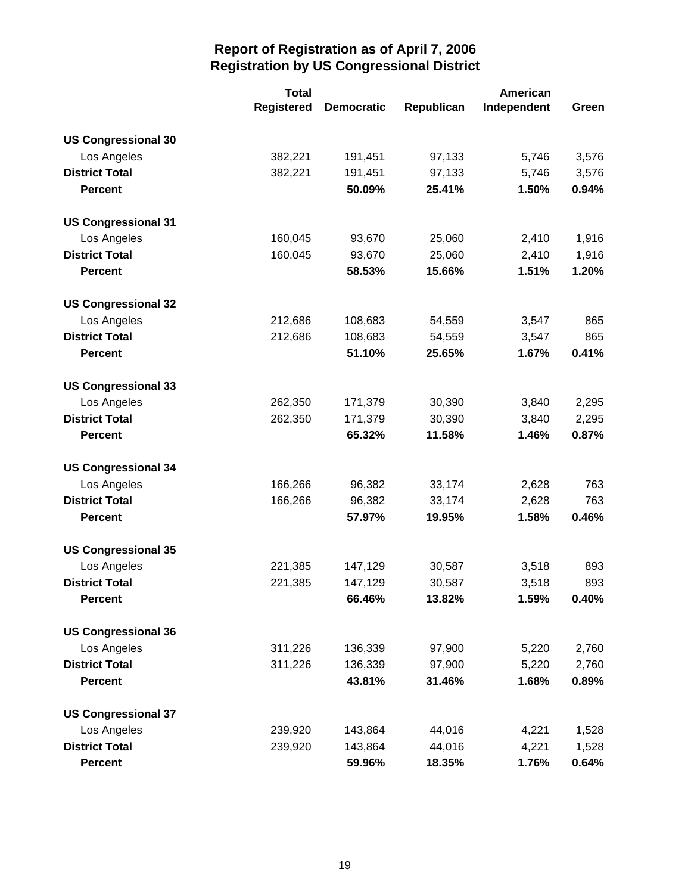|                            | <b>Total</b>      |                   | American   |             |       |
|----------------------------|-------------------|-------------------|------------|-------------|-------|
|                            | <b>Registered</b> | <b>Democratic</b> | Republican | Independent | Green |
| <b>US Congressional 30</b> |                   |                   |            |             |       |
| Los Angeles                | 382,221           | 191,451           | 97,133     | 5,746       | 3,576 |
| <b>District Total</b>      | 382,221           | 191,451           | 97,133     | 5,746       | 3,576 |
| <b>Percent</b>             |                   | 50.09%            | 25.41%     | 1.50%       | 0.94% |
| <b>US Congressional 31</b> |                   |                   |            |             |       |
| Los Angeles                | 160,045           | 93,670            | 25,060     | 2,410       | 1,916 |
| <b>District Total</b>      | 160,045           | 93,670            | 25,060     | 2,410       | 1,916 |
| <b>Percent</b>             |                   | 58.53%            | 15.66%     | 1.51%       | 1.20% |
| <b>US Congressional 32</b> |                   |                   |            |             |       |
| Los Angeles                | 212,686           | 108,683           | 54,559     | 3,547       | 865   |
| <b>District Total</b>      | 212,686           | 108,683           | 54,559     | 3,547       | 865   |
| <b>Percent</b>             |                   | 51.10%            | 25.65%     | 1.67%       | 0.41% |
| <b>US Congressional 33</b> |                   |                   |            |             |       |
| Los Angeles                | 262,350           | 171,379           | 30,390     | 3,840       | 2,295 |
| <b>District Total</b>      | 262,350           | 171,379           | 30,390     | 3,840       | 2,295 |
| <b>Percent</b>             |                   | 65.32%            | 11.58%     | 1.46%       | 0.87% |
| <b>US Congressional 34</b> |                   |                   |            |             |       |
| Los Angeles                | 166,266           | 96,382            | 33,174     | 2,628       | 763   |
| <b>District Total</b>      | 166,266           | 96,382            | 33,174     | 2,628       | 763   |
| <b>Percent</b>             |                   | 57.97%            | 19.95%     | 1.58%       | 0.46% |
| <b>US Congressional 35</b> |                   |                   |            |             |       |
| Los Angeles                | 221,385           | 147,129           | 30,587     | 3,518       | 893   |
| <b>District Total</b>      | 221,385           | 147,129           | 30,587     | 3,518       | 893   |
| <b>Percent</b>             |                   | 66.46%            | 13.82%     | 1.59%       | 0.40% |
| <b>US Congressional 36</b> |                   |                   |            |             |       |
| Los Angeles                | 311,226           | 136,339           | 97,900     | 5,220       | 2,760 |
| <b>District Total</b>      | 311,226           | 136,339           | 97,900     | 5,220       | 2,760 |
| <b>Percent</b>             |                   | 43.81%            | 31.46%     | 1.68%       | 0.89% |
| <b>US Congressional 37</b> |                   |                   |            |             |       |
| Los Angeles                | 239,920           | 143,864           | 44,016     | 4,221       | 1,528 |
| <b>District Total</b>      | 239,920           | 143,864           | 44,016     | 4,221       | 1,528 |
| <b>Percent</b>             |                   | 59.96%            | 18.35%     | 1.76%       | 0.64% |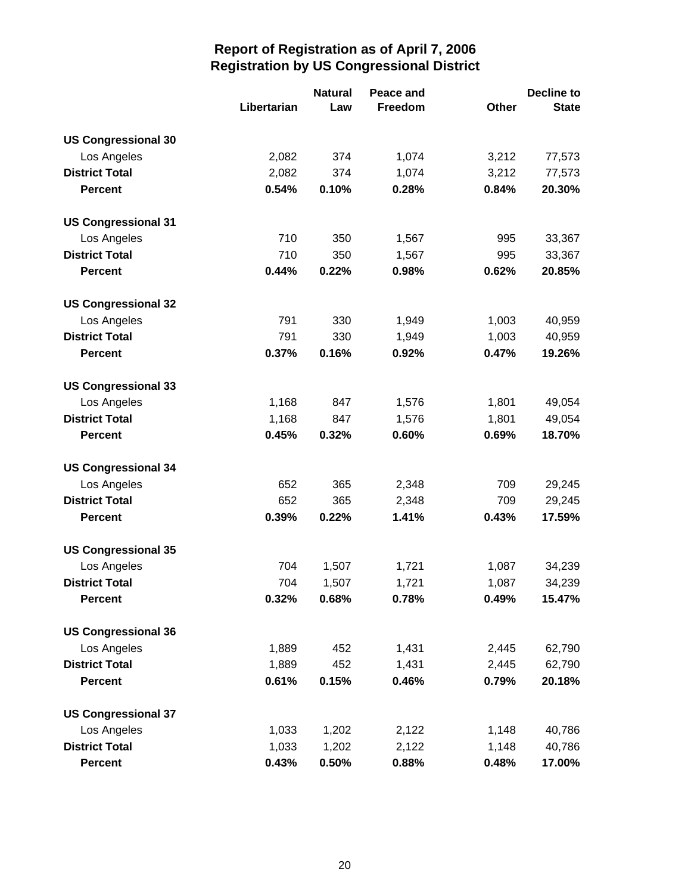|                            |             | <b>Natural</b> | Peace and |       | <b>Decline to</b> |
|----------------------------|-------------|----------------|-----------|-------|-------------------|
|                            | Libertarian | Law            | Freedom   | Other | <b>State</b>      |
| <b>US Congressional 30</b> |             |                |           |       |                   |
| Los Angeles                | 2,082       | 374            | 1,074     | 3,212 | 77,573            |
| <b>District Total</b>      | 2,082       | 374            | 1,074     | 3,212 | 77,573            |
| <b>Percent</b>             | 0.54%       | 0.10%          | 0.28%     | 0.84% | 20.30%            |
| <b>US Congressional 31</b> |             |                |           |       |                   |
| Los Angeles                | 710         | 350            | 1,567     | 995   | 33,367            |
| <b>District Total</b>      | 710         | 350            | 1,567     | 995   | 33,367            |
| <b>Percent</b>             | 0.44%       | 0.22%          | 0.98%     | 0.62% | 20.85%            |
| <b>US Congressional 32</b> |             |                |           |       |                   |
| Los Angeles                | 791         | 330            | 1,949     | 1,003 | 40,959            |
| <b>District Total</b>      | 791         | 330            | 1,949     | 1,003 | 40,959            |
| <b>Percent</b>             | 0.37%       | 0.16%          | 0.92%     | 0.47% | 19.26%            |
| <b>US Congressional 33</b> |             |                |           |       |                   |
| Los Angeles                | 1,168       | 847            | 1,576     | 1,801 | 49,054            |
| <b>District Total</b>      | 1,168       | 847            | 1,576     | 1,801 | 49,054            |
| <b>Percent</b>             | 0.45%       | 0.32%          | 0.60%     | 0.69% | 18.70%            |
| <b>US Congressional 34</b> |             |                |           |       |                   |
| Los Angeles                | 652         | 365            | 2,348     | 709   | 29,245            |
| <b>District Total</b>      | 652         | 365            | 2,348     | 709   | 29,245            |
| <b>Percent</b>             | 0.39%       | 0.22%          | 1.41%     | 0.43% | 17.59%            |
| <b>US Congressional 35</b> |             |                |           |       |                   |
| Los Angeles                | 704         | 1,507          | 1,721     | 1,087 | 34,239            |
| <b>District Total</b>      | 704         | 1,507          | 1,721     | 1,087 | 34,239            |
| <b>Percent</b>             | 0.32%       | 0.68%          | 0.78%     | 0.49% | 15.47%            |
| <b>US Congressional 36</b> |             |                |           |       |                   |
| Los Angeles                | 1,889       | 452            | 1,431     | 2,445 | 62,790            |
| <b>District Total</b>      | 1,889       | 452            | 1,431     | 2,445 | 62,790            |
| <b>Percent</b>             | 0.61%       | 0.15%          | 0.46%     | 0.79% | 20.18%            |
| <b>US Congressional 37</b> |             |                |           |       |                   |
| Los Angeles                | 1,033       | 1,202          | 2,122     | 1,148 | 40,786            |
| <b>District Total</b>      | 1,033       | 1,202          | 2,122     | 1,148 | 40,786            |
| <b>Percent</b>             | 0.43%       | 0.50%          | 0.88%     | 0.48% | 17.00%            |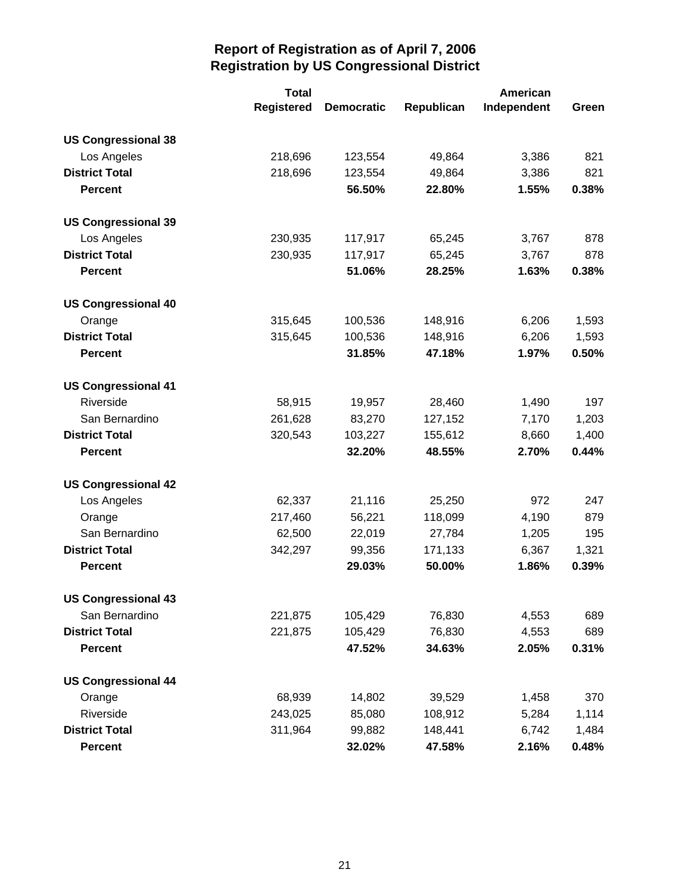|                            | <b>Total</b>      |                   | American   |             |       |
|----------------------------|-------------------|-------------------|------------|-------------|-------|
|                            | <b>Registered</b> | <b>Democratic</b> | Republican | Independent | Green |
| <b>US Congressional 38</b> |                   |                   |            |             |       |
| Los Angeles                | 218,696           | 123,554           | 49,864     | 3,386       | 821   |
| <b>District Total</b>      | 218,696           | 123,554           | 49,864     | 3,386       | 821   |
| <b>Percent</b>             |                   | 56.50%            | 22.80%     | 1.55%       | 0.38% |
| <b>US Congressional 39</b> |                   |                   |            |             |       |
| Los Angeles                | 230,935           | 117,917           | 65,245     | 3,767       | 878   |
| <b>District Total</b>      | 230,935           | 117,917           | 65,245     | 3,767       | 878   |
| <b>Percent</b>             |                   | 51.06%            | 28.25%     | 1.63%       | 0.38% |
| <b>US Congressional 40</b> |                   |                   |            |             |       |
| Orange                     | 315,645           | 100,536           | 148,916    | 6,206       | 1,593 |
| <b>District Total</b>      | 315,645           | 100,536           | 148,916    | 6,206       | 1,593 |
| <b>Percent</b>             |                   | 31.85%            | 47.18%     | 1.97%       | 0.50% |
| <b>US Congressional 41</b> |                   |                   |            |             |       |
| Riverside                  | 58,915            | 19,957            | 28,460     | 1,490       | 197   |
| San Bernardino             | 261,628           | 83,270            | 127,152    | 7,170       | 1,203 |
| <b>District Total</b>      | 320,543           | 103,227           | 155,612    | 8,660       | 1,400 |
| <b>Percent</b>             |                   | 32.20%            | 48.55%     | 2.70%       | 0.44% |
| <b>US Congressional 42</b> |                   |                   |            |             |       |
| Los Angeles                | 62,337            | 21,116            | 25,250     | 972         | 247   |
| Orange                     | 217,460           | 56,221            | 118,099    | 4,190       | 879   |
| San Bernardino             | 62,500            | 22,019            | 27,784     | 1,205       | 195   |
| <b>District Total</b>      | 342,297           | 99,356            | 171,133    | 6,367       | 1,321 |
| <b>Percent</b>             |                   | 29.03%            | 50.00%     | 1.86%       | 0.39% |
| <b>US Congressional 43</b> |                   |                   |            |             |       |
| San Bernardino             | 221,875           | 105,429           | 76,830     | 4,553       | 689   |
| <b>District Total</b>      | 221,875           | 105,429           | 76,830     | 4,553       | 689   |
| <b>Percent</b>             |                   | 47.52%            | 34.63%     | 2.05%       | 0.31% |
| <b>US Congressional 44</b> |                   |                   |            |             |       |
| Orange                     | 68,939            | 14,802            | 39,529     | 1,458       | 370   |
| Riverside                  | 243,025           | 85,080            | 108,912    | 5,284       | 1,114 |
| <b>District Total</b>      | 311,964           | 99,882            | 148,441    | 6,742       | 1,484 |
| <b>Percent</b>             |                   | 32.02%            | 47.58%     | 2.16%       | 0.48% |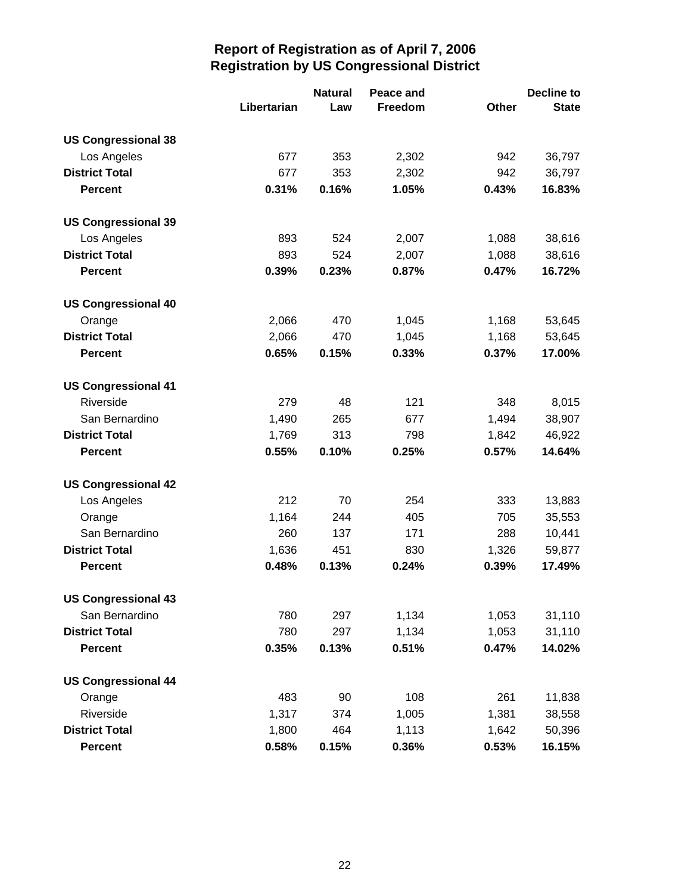|                            |             | <b>Natural</b> | Peace and |       | Decline to   |
|----------------------------|-------------|----------------|-----------|-------|--------------|
|                            | Libertarian | Law            | Freedom   | Other | <b>State</b> |
| <b>US Congressional 38</b> |             |                |           |       |              |
| Los Angeles                | 677         | 353            | 2,302     | 942   | 36,797       |
| <b>District Total</b>      | 677         | 353            | 2,302     | 942   | 36,797       |
| <b>Percent</b>             | 0.31%       | 0.16%          | 1.05%     | 0.43% | 16.83%       |
| <b>US Congressional 39</b> |             |                |           |       |              |
| Los Angeles                | 893         | 524            | 2,007     | 1,088 | 38,616       |
| <b>District Total</b>      | 893         | 524            | 2,007     | 1,088 | 38,616       |
| <b>Percent</b>             | 0.39%       | 0.23%          | 0.87%     | 0.47% | 16.72%       |
| <b>US Congressional 40</b> |             |                |           |       |              |
| Orange                     | 2,066       | 470            | 1,045     | 1,168 | 53,645       |
| <b>District Total</b>      | 2,066       | 470            | 1,045     | 1,168 | 53,645       |
| <b>Percent</b>             | 0.65%       | 0.15%          | 0.33%     | 0.37% | 17.00%       |
| <b>US Congressional 41</b> |             |                |           |       |              |
| Riverside                  | 279         | 48             | 121       | 348   | 8,015        |
| San Bernardino             | 1,490       | 265            | 677       | 1,494 | 38,907       |
| <b>District Total</b>      | 1,769       | 313            | 798       | 1,842 | 46,922       |
| <b>Percent</b>             | 0.55%       | 0.10%          | 0.25%     | 0.57% | 14.64%       |
| <b>US Congressional 42</b> |             |                |           |       |              |
| Los Angeles                | 212         | 70             | 254       | 333   | 13,883       |
| Orange                     | 1,164       | 244            | 405       | 705   | 35,553       |
| San Bernardino             | 260         | 137            | 171       | 288   | 10,441       |
| <b>District Total</b>      | 1,636       | 451            | 830       | 1,326 | 59,877       |
| <b>Percent</b>             | 0.48%       | 0.13%          | 0.24%     | 0.39% | 17.49%       |
| <b>US Congressional 43</b> |             |                |           |       |              |
| San Bernardino             | 780         | 297            | 1,134     | 1,053 | 31,110       |
| <b>District Total</b>      | 780         | 297            | 1,134     | 1,053 | 31,110       |
| <b>Percent</b>             | 0.35%       | 0.13%          | 0.51%     | 0.47% | 14.02%       |
| <b>US Congressional 44</b> |             |                |           |       |              |
| Orange                     | 483         | 90             | 108       | 261   | 11,838       |
| Riverside                  | 1,317       | 374            | 1,005     | 1,381 | 38,558       |
| <b>District Total</b>      | 1,800       | 464            | 1,113     | 1,642 | 50,396       |
| <b>Percent</b>             | 0.58%       | 0.15%          | 0.36%     | 0.53% | 16.15%       |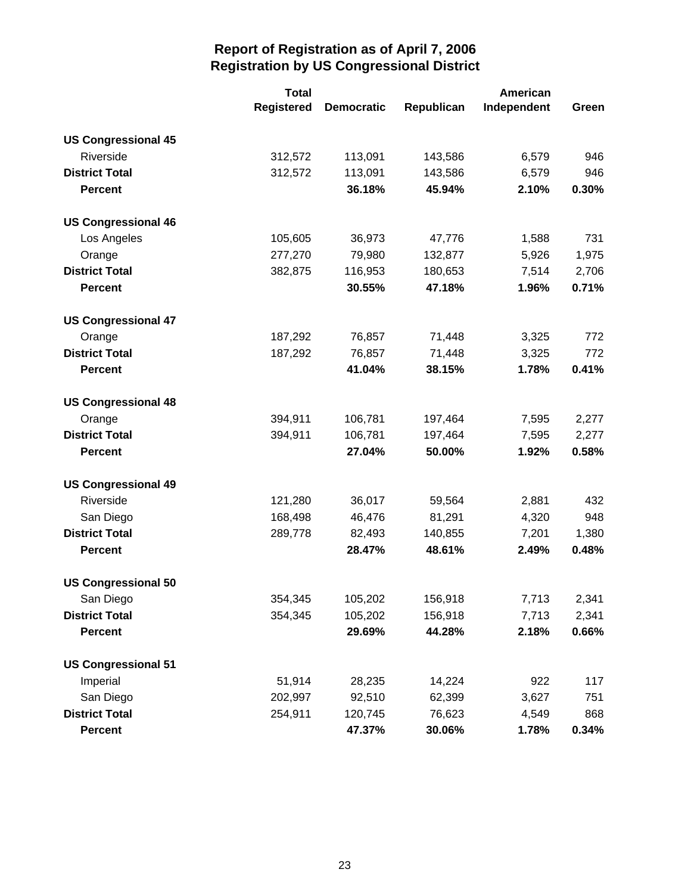|                            | <b>Total</b>      |                   | American   |             |       |
|----------------------------|-------------------|-------------------|------------|-------------|-------|
|                            | <b>Registered</b> | <b>Democratic</b> | Republican | Independent | Green |
| <b>US Congressional 45</b> |                   |                   |            |             |       |
| Riverside                  | 312,572           | 113,091           | 143,586    | 6,579       | 946   |
| <b>District Total</b>      | 312,572           | 113,091           | 143,586    | 6,579       | 946   |
| <b>Percent</b>             |                   | 36.18%            | 45.94%     | 2.10%       | 0.30% |
| <b>US Congressional 46</b> |                   |                   |            |             |       |
| Los Angeles                | 105,605           | 36,973            | 47,776     | 1,588       | 731   |
| Orange                     | 277,270           | 79,980            | 132,877    | 5,926       | 1,975 |
| <b>District Total</b>      | 382,875           | 116,953           | 180,653    | 7,514       | 2,706 |
| <b>Percent</b>             |                   | 30.55%            | 47.18%     | 1.96%       | 0.71% |
| <b>US Congressional 47</b> |                   |                   |            |             |       |
| Orange                     | 187,292           | 76,857            | 71,448     | 3,325       | 772   |
| <b>District Total</b>      | 187,292           | 76,857            | 71,448     | 3,325       | 772   |
| <b>Percent</b>             |                   | 41.04%            | 38.15%     | 1.78%       | 0.41% |
| <b>US Congressional 48</b> |                   |                   |            |             |       |
| Orange                     | 394,911           | 106,781           | 197,464    | 7,595       | 2,277 |
| <b>District Total</b>      | 394,911           | 106,781           | 197,464    | 7,595       | 2,277 |
| <b>Percent</b>             |                   | 27.04%            | 50.00%     | 1.92%       | 0.58% |
| <b>US Congressional 49</b> |                   |                   |            |             |       |
| Riverside                  | 121,280           | 36,017            | 59,564     | 2,881       | 432   |
| San Diego                  | 168,498           | 46,476            | 81,291     | 4,320       | 948   |
| <b>District Total</b>      | 289,778           | 82,493            | 140,855    | 7,201       | 1,380 |
| <b>Percent</b>             |                   | 28.47%            | 48.61%     | 2.49%       | 0.48% |
| <b>US Congressional 50</b> |                   |                   |            |             |       |
| San Diego                  | 354,345           | 105,202           | 156,918    | 7,713       | 2,341 |
| <b>District Total</b>      | 354,345           | 105,202           | 156,918    | 7,713       | 2,341 |
| <b>Percent</b>             |                   | 29.69%            | 44.28%     | 2.18%       | 0.66% |
| <b>US Congressional 51</b> |                   |                   |            |             |       |
| Imperial                   | 51,914            | 28,235            | 14,224     | 922         | 117   |
| San Diego                  | 202,997           | 92,510            | 62,399     | 3,627       | 751   |
| <b>District Total</b>      | 254,911           | 120,745           | 76,623     | 4,549       | 868   |
| <b>Percent</b>             |                   | 47.37%            | 30.06%     | 1.78%       | 0.34% |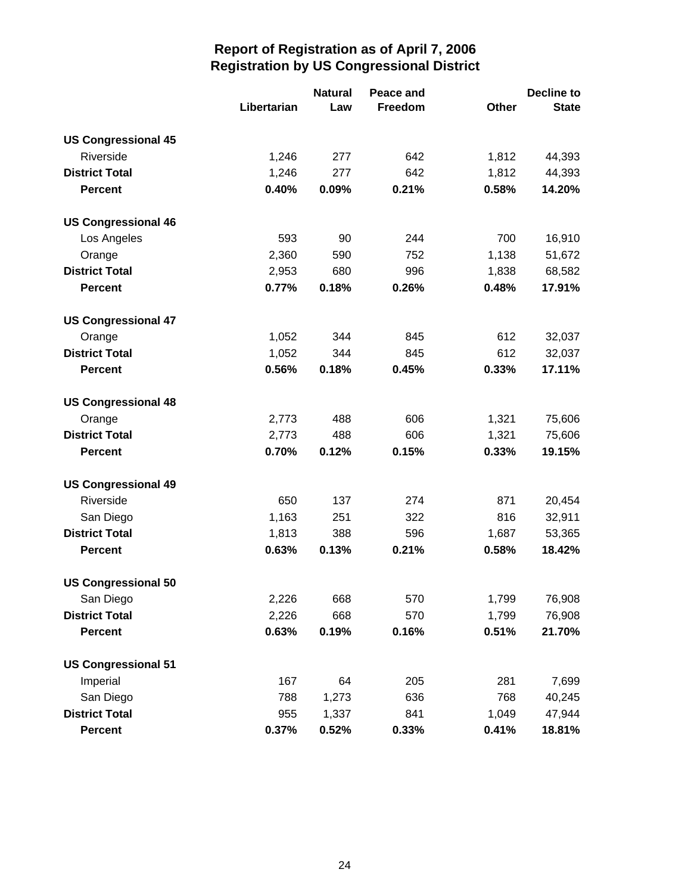|                            |             | <b>Natural</b> | Peace and |              | Decline to   |
|----------------------------|-------------|----------------|-----------|--------------|--------------|
|                            | Libertarian | Law            | Freedom   | <b>Other</b> | <b>State</b> |
| <b>US Congressional 45</b> |             |                |           |              |              |
| Riverside                  | 1,246       | 277            | 642       | 1,812        | 44,393       |
| <b>District Total</b>      | 1,246       | 277            | 642       | 1,812        | 44,393       |
| <b>Percent</b>             | 0.40%       | 0.09%          | 0.21%     | 0.58%        | 14.20%       |
| <b>US Congressional 46</b> |             |                |           |              |              |
| Los Angeles                | 593         | 90             | 244       | 700          | 16,910       |
| Orange                     | 2,360       | 590            | 752       | 1,138        | 51,672       |
| <b>District Total</b>      | 2,953       | 680            | 996       | 1,838        | 68,582       |
| <b>Percent</b>             | 0.77%       | 0.18%          | 0.26%     | 0.48%        | 17.91%       |
| <b>US Congressional 47</b> |             |                |           |              |              |
| Orange                     | 1,052       | 344            | 845       | 612          | 32,037       |
| <b>District Total</b>      | 1,052       | 344            | 845       | 612          | 32,037       |
| <b>Percent</b>             | 0.56%       | 0.18%          | 0.45%     | 0.33%        | 17.11%       |
| <b>US Congressional 48</b> |             |                |           |              |              |
| Orange                     | 2,773       | 488            | 606       | 1,321        | 75,606       |
| <b>District Total</b>      | 2,773       | 488            | 606       | 1,321        | 75,606       |
| <b>Percent</b>             | 0.70%       | 0.12%          | 0.15%     | 0.33%        | 19.15%       |
| <b>US Congressional 49</b> |             |                |           |              |              |
| Riverside                  | 650         | 137            | 274       | 871          | 20,454       |
| San Diego                  | 1,163       | 251            | 322       | 816          | 32,911       |
| <b>District Total</b>      | 1,813       | 388            | 596       | 1,687        | 53,365       |
| <b>Percent</b>             | 0.63%       | 0.13%          | 0.21%     | 0.58%        | 18.42%       |
| <b>US Congressional 50</b> |             |                |           |              |              |
| San Diego                  | 2,226       | 668            | 570       | 1,799        | 76,908       |
| <b>District Total</b>      | 2,226       | 668            | 570       | 1,799        | 76,908       |
| <b>Percent</b>             | 0.63%       | 0.19%          | 0.16%     | 0.51%        | 21.70%       |
| <b>US Congressional 51</b> |             |                |           |              |              |
| Imperial                   | 167         | 64             | 205       | 281          | 7,699        |
| San Diego                  | 788         | 1,273          | 636       | 768          | 40,245       |
| <b>District Total</b>      | 955         | 1,337          | 841       | 1,049        | 47,944       |
| <b>Percent</b>             | 0.37%       | 0.52%          | 0.33%     | 0.41%        | 18.81%       |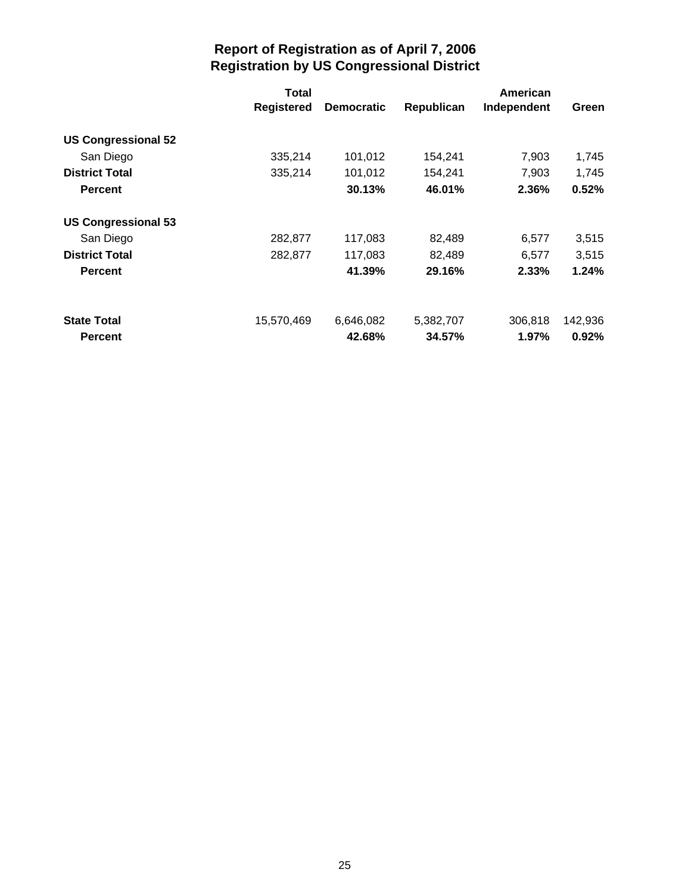|                            | Total             |                   |            | American    |         |
|----------------------------|-------------------|-------------------|------------|-------------|---------|
|                            | <b>Registered</b> | <b>Democratic</b> | Republican | Independent | Green   |
| <b>US Congressional 52</b> |                   |                   |            |             |         |
| San Diego                  | 335,214           | 101,012           | 154,241    | 7,903       | 1,745   |
| <b>District Total</b>      | 335,214           | 101,012           | 154,241    | 7,903       | 1,745   |
| <b>Percent</b>             |                   | 30.13%            | 46.01%     | 2.36%       | 0.52%   |
| <b>US Congressional 53</b> |                   |                   |            |             |         |
| San Diego                  | 282,877           | 117,083           | 82,489     | 6,577       | 3,515   |
| <b>District Total</b>      | 282,877           | 117,083           | 82,489     | 6,577       | 3,515   |
| <b>Percent</b>             |                   | 41.39%            | 29.16%     | 2.33%       | 1.24%   |
| <b>State Total</b>         | 15,570,469        | 6,646,082         | 5,382,707  | 306,818     | 142,936 |
| <b>Percent</b>             |                   | 42.68%            | 34.57%     | 1.97%       | 0.92%   |